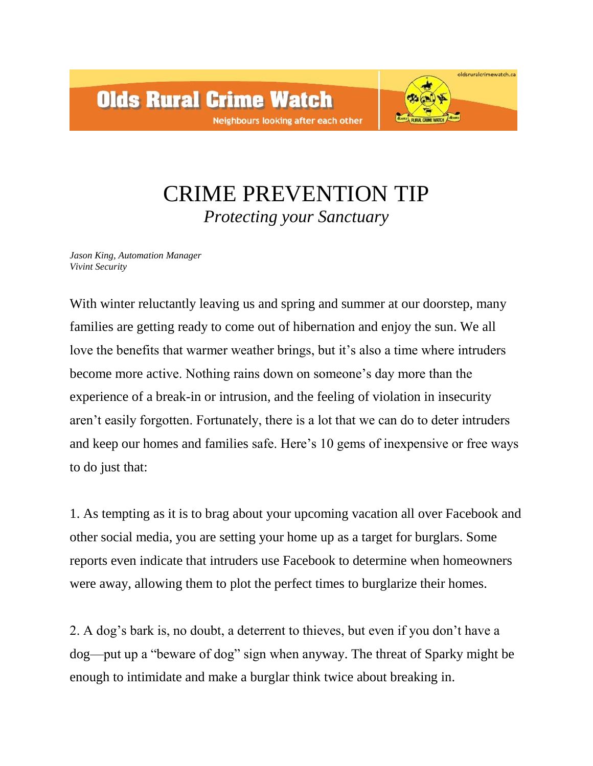

## CRIME PREVENTION TIP *Protecting your Sanctuary*

*Jason King, Automation Manager Vivint Security*

With winter reluctantly leaving us and spring and summer at our doorstep, many families are getting ready to come out of hibernation and enjoy the sun. We all love the benefits that warmer weather brings, but it's also a time where intruders become more active. Nothing rains down on someone's day more than the experience of a break-in or intrusion, and the feeling of violation in insecurity aren't easily forgotten. Fortunately, there is a lot that we can do to deter intruders and keep our homes and families safe. Here's 10 gems of inexpensive or free ways to do just that:

1. As tempting as it is to brag about your upcoming vacation all over Facebook and other social media, you are setting your home up as a target for burglars. Some reports even indicate that intruders use Facebook to determine when homeowners were away, allowing them to plot the perfect times to burglarize their homes.

2. A dog's bark is, no doubt, a deterrent to thieves, but even if you don't have a dog—put up a "beware of dog" sign when anyway. The threat of Sparky might be enough to intimidate and make a burglar think twice about breaking in.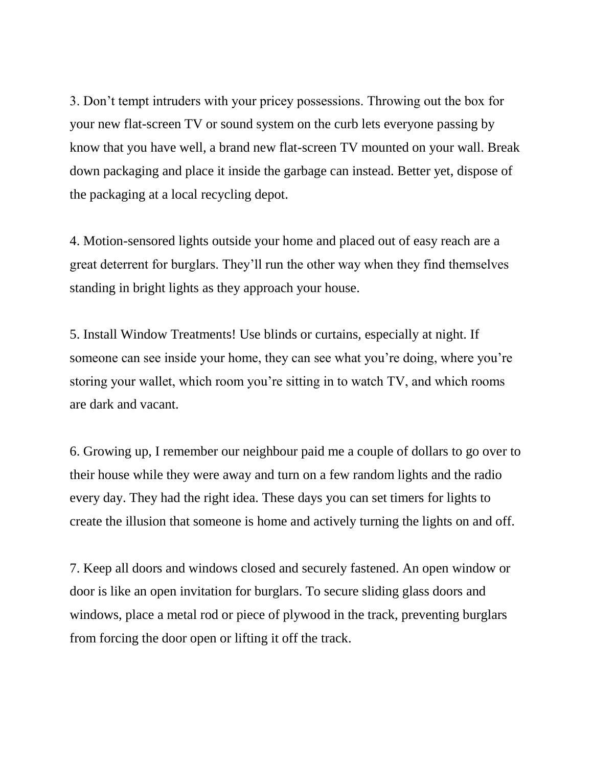3. Don't tempt intruders with your pricey possessions. Throwing out the box for your new flat-screen TV or sound system on the curb lets everyone passing by know that you have well, a brand new flat-screen TV mounted on your wall. Break down packaging and place it inside the garbage can instead. Better yet, dispose of the packaging at a local recycling depot.

4. Motion-sensored lights outside your home and placed out of easy reach are a great deterrent for burglars. They'll run the other way when they find themselves standing in bright lights as they approach your house.

5. Install Window Treatments! Use blinds or curtains, especially at night. If someone can see inside your home, they can see what you're doing, where you're storing your wallet, which room you're sitting in to watch TV, and which rooms are dark and vacant.

6. Growing up, I remember our neighbour paid me a couple of dollars to go over to their house while they were away and turn on a few random lights and the radio every day. They had the right idea. These days you can set timers for lights to create the illusion that someone is home and actively turning the lights on and off.

7. Keep all doors and windows closed and securely fastened. An open window or door is like an open invitation for burglars. To secure sliding glass doors and windows, place a metal rod or piece of plywood in the track, preventing burglars from forcing the door open or lifting it off the track.